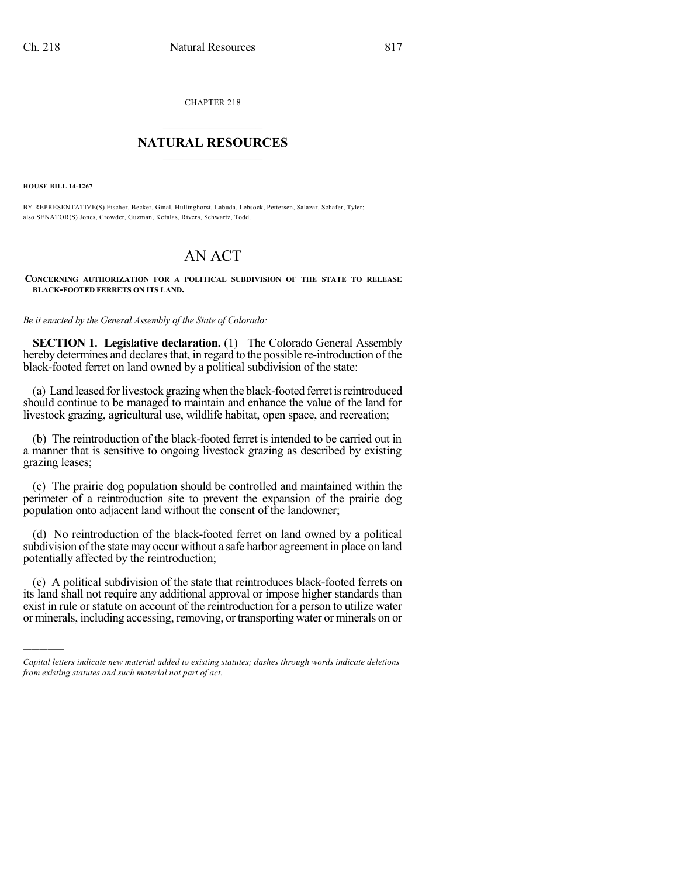CHAPTER 218

## $\mathcal{L}_\text{max}$  . The set of the set of the set of the set of the set of the set of the set of the set of the set of the set of the set of the set of the set of the set of the set of the set of the set of the set of the set **NATURAL RESOURCES**  $\frac{1}{\sqrt{2}}$  , where  $\frac{1}{\sqrt{2}}$  ,  $\frac{1}{\sqrt{2}}$  ,  $\frac{1}{\sqrt{2}}$

**HOUSE BILL 14-1267**

)))))

BY REPRESENTATIVE(S) Fischer, Becker, Ginal, Hullinghorst, Labuda, Lebsock, Pettersen, Salazar, Schafer, Tyler; also SENATOR(S) Jones, Crowder, Guzman, Kefalas, Rivera, Schwartz, Todd.

## AN ACT

## **CONCERNING AUTHORIZATION FOR A POLITICAL SUBDIVISION OF THE STATE TO RELEASE BLACK-FOOTED FERRETS ON ITS LAND.**

*Be it enacted by the General Assembly of the State of Colorado:*

**SECTION 1. Legislative declaration.** (1) The Colorado General Assembly hereby determines and declares that, in regard to the possible re-introduction of the black-footed ferret on land owned by a political subdivision of the state:

(a) Land leased for livestock grazing when the black-footed ferret is reintroduced should continue to be managed to maintain and enhance the value of the land for livestock grazing, agricultural use, wildlife habitat, open space, and recreation;

(b) The reintroduction of the black-footed ferret is intended to be carried out in a manner that is sensitive to ongoing livestock grazing as described by existing grazing leases;

(c) The prairie dog population should be controlled and maintained within the perimeter of a reintroduction site to prevent the expansion of the prairie dog population onto adjacent land without the consent of the landowner;

(d) No reintroduction of the black-footed ferret on land owned by a political subdivision of the state may occur without a safe harbor agreement in place on land potentially affected by the reintroduction;

(e) A political subdivision of the state that reintroduces black-footed ferrets on its land shall not require any additional approval or impose higher standards than exist in rule or statute on account of the reintroduction for a person to utilize water or minerals, including accessing, removing, or transporting water or minerals on or

*Capital letters indicate new material added to existing statutes; dashes through words indicate deletions from existing statutes and such material not part of act.*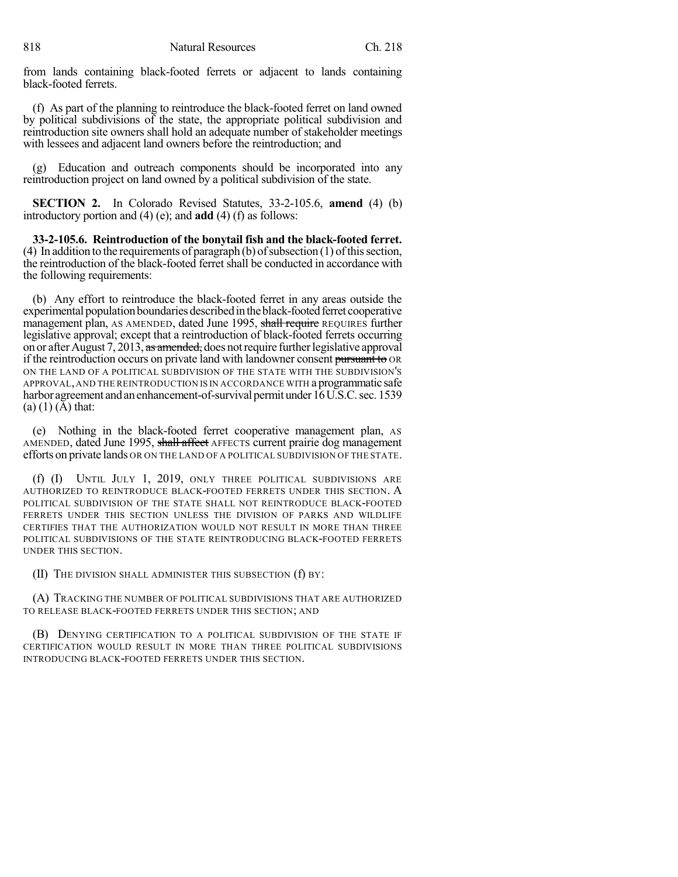from lands containing black-footed ferrets or adjacent to lands containing black-footed ferrets.

(f) As part of the planning to reintroduce the black-footed ferret on land owned by political subdivisions of the state, the appropriate political subdivision and reintroduction site owners shall hold an adequate number of stakeholder meetings with lessees and adjacent land owners before the reintroduction; and

(g) Education and outreach components should be incorporated into any reintroduction project on land owned by a political subdivision of the state.

**SECTION 2.** In Colorado Revised Statutes, 33-2-105.6, **amend** (4) (b) introductory portion and (4) (e); and **add** (4) (f) as follows:

**33-2-105.6. Reintroduction of the bonytail fish and the black-footed ferret.**  $(4)$  In addition to the requirements of paragraph  $(b)$  of subsection  $(1)$  of this section, the reintroduction of the black-footed ferret shall be conducted in accordance with the following requirements:

(b) Any effort to reintroduce the black-footed ferret in any areas outside the experimental population boundaries described in the black-footed ferret cooperative management plan, AS AMENDED, dated June 1995, shall require REQUIRES further legislative approval; except that a reintroduction of black-footed ferrets occurring on or after August 7, 2013, as amended, does not require further legislative approval if the reintroduction occurs on private land with landowner consent pursuant to OR ON THE LAND OF A POLITICAL SUBDIVISION OF THE STATE WITH THE SUBDIVISION'S APPROVAL,AND THE REINTRODUCTION IS IN ACCORDANCE WITH aprogrammatic safe harbor agreement and an enhancement-of-survival permit under 16 U.S.C. sec. 1539  $(a) (1) (A)$  that:

(e) Nothing in the black-footed ferret cooperative management plan, AS AMENDED, dated June 1995, shall affect AFFECTS current prairie dog management efforts on private lands OR ON THE LAND OF A POLITICAL SUBDIVISION OF THE STATE.

(f) (I) UNTIL JULY 1, 2019, ONLY THREE POLITICAL SUBDIVISIONS ARE AUTHORIZED TO REINTRODUCE BLACK-FOOTED FERRETS UNDER THIS SECTION. A POLITICAL SUBDIVISION OF THE STATE SHALL NOT REINTRODUCE BLACK-FOOTED FERRETS UNDER THIS SECTION UNLESS THE DIVISION OF PARKS AND WILDLIFE CERTIFIES THAT THE AUTHORIZATION WOULD NOT RESULT IN MORE THAN THREE POLITICAL SUBDIVISIONS OF THE STATE REINTRODUCING BLACK-FOOTED FERRETS UNDER THIS SECTION.

(II) THE DIVISION SHALL ADMINISTER THIS SUBSECTION (f) BY:

(A) TRACKING THE NUMBER OF POLITICAL SUBDIVISIONS THAT ARE AUTHORIZED TO RELEASE BLACK-FOOTED FERRETS UNDER THIS SECTION; AND

(B) DENYING CERTIFICATION TO A POLITICAL SUBDIVISION OF THE STATE IF CERTIFICATION WOULD RESULT IN MORE THAN THREE POLITICAL SUBDIVISIONS INTRODUCING BLACK-FOOTED FERRETS UNDER THIS SECTION.